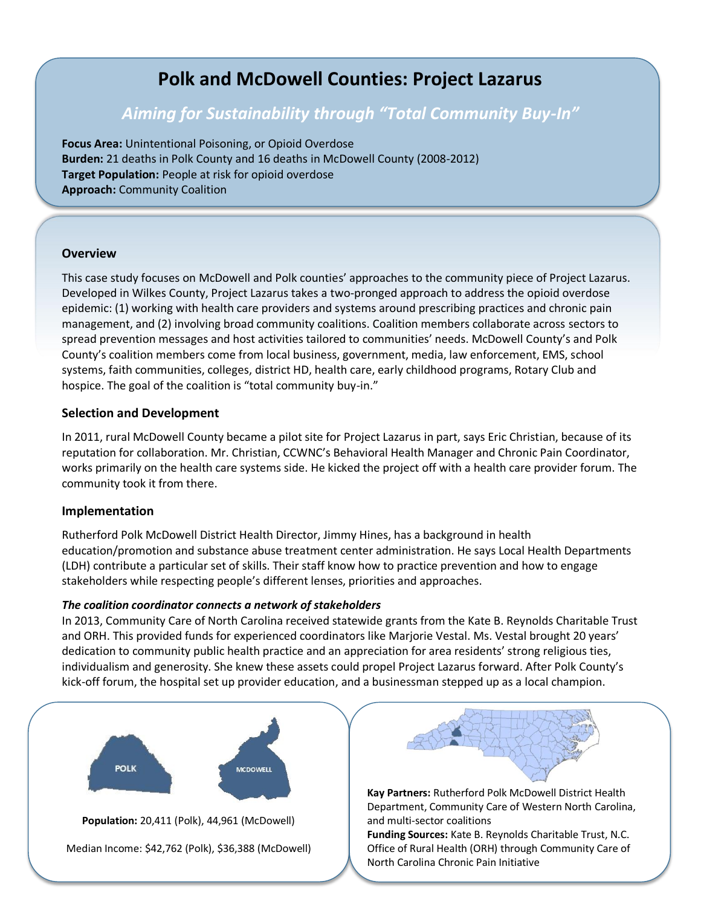# **Polk and McDowell Counties: Project Lazarus**

## *Aiming for Sustainability through "Total Community Buy-In"*

**Focus Area:** Unintentional Poisoning, or Opioid Overdose **Burden:** 21 deaths in Polk County and 16 deaths in McDowell County (2008-2012) **Target Population:** People at risk for opioid overdose **Approach:** Community Coalition

#### **Overview**

This case study focuses on McDowell and Polk counties' approaches to the community piece of Project Lazarus. Developed in Wilkes County, Project Lazarus takes a two-pronged approach to address the opioid overdose epidemic: (1) working with health care providers and systems around prescribing practices and chronic pain management, and (2) involving broad community coalitions. Coalition members collaborate across sectors to spread prevention messages and host activities tailored to communities' needs. McDowell County's and Polk County's coalition members come from local business, government, media, law enforcement, EMS, school systems, faith communities, colleges, district HD, health care, early childhood programs, Rotary Club and hospice. The goal of the coalition is "total community buy-in."

#### **Selection and Development**

In 2011, rural McDowell County became a pilot site for Project Lazarus in part, says Eric Christian, because of its reputation for collaboration. Mr. Christian, CCWNC's Behavioral Health Manager and Chronic Pain Coordinator, works primarily on the health care systems side. He kicked the project off with a health care provider forum. The community took it from there.

#### **Implementation**

Rutherford Polk McDowell District Health Director, Jimmy Hines, has a background in health education/promotion and substance abuse treatment center administration. He says Local Health Departments (LDH) contribute a particular set of skills. Their staff know how to practice prevention and how to engage stakeholders while respecting people's different lenses, priorities and approaches.

#### *The coalition coordinator connects a network of stakeholders*

In 2013, Community Care of North Carolina received statewide grants from the Kate B. Reynolds Charitable Trust and ORH. This provided funds for experienced coordinators like Marjorie Vestal. Ms. Vestal brought 20 years' dedication to community public health practice and an appreciation for area residents' strong religious ties, individualism and generosity. She knew these assets could propel Project Lazarus forward. After Polk County's kick-off forum, the hospital set up provider education, and a businessman stepped up as a local champion.